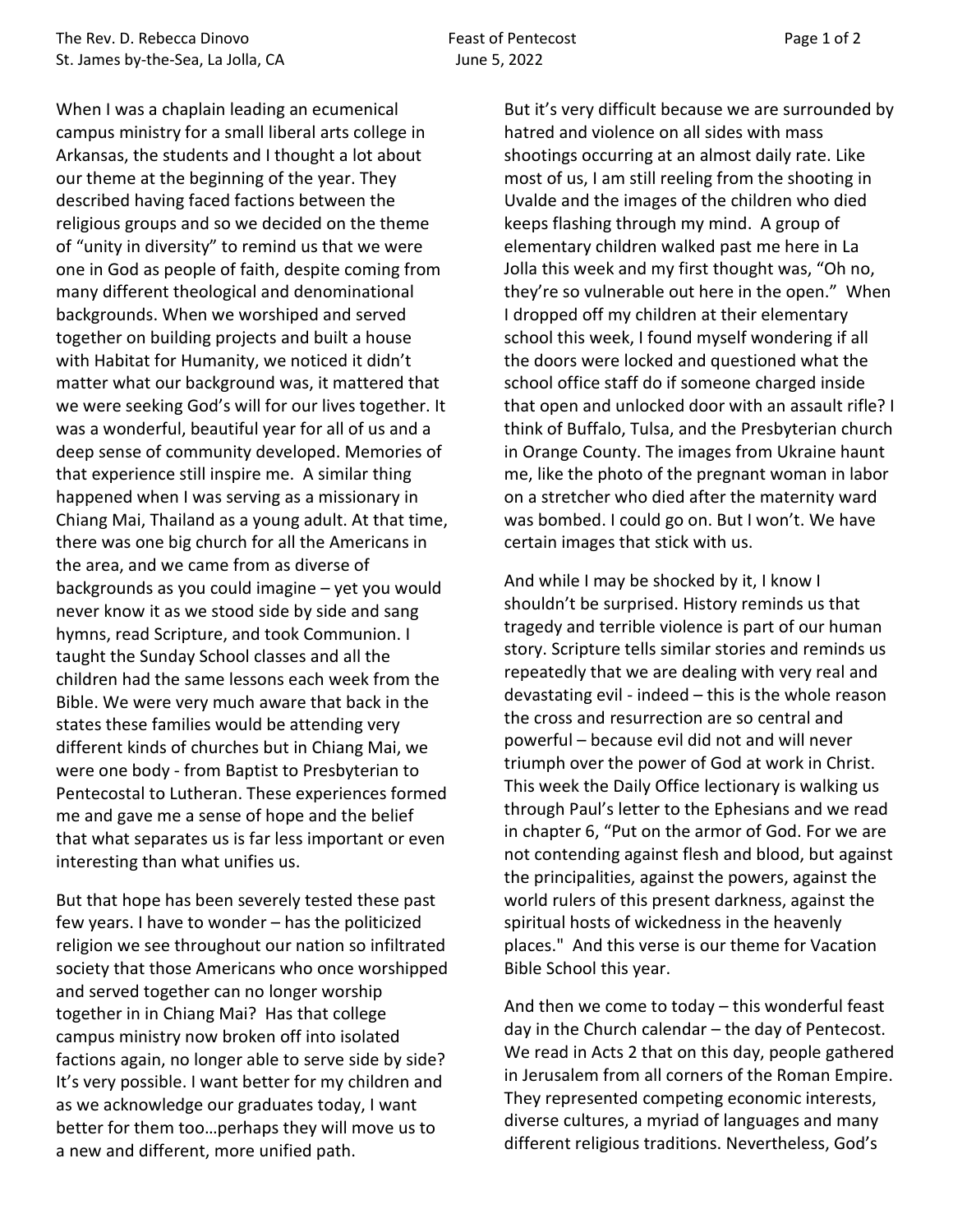When I was a chaplain leading an ecumenical campus ministry for a small liberal arts college in Arkansas, the students and I thought a lot about our theme at the beginning of the year. They described having faced factions between the religious groups and so we decided on the theme of "unity in diversity" to remind us that we were one in God as people of faith, despite coming from many different theological and denominational backgrounds. When we worshiped and served together on building projects and built a house with Habitat for Humanity, we noticed it didn't matter what our background was, it mattered that we were seeking God's will for our lives together. It was a wonderful, beautiful year for all of us and a deep sense of community developed. Memories of that experience still inspire me. A similar thing happened when I was serving as a missionary in Chiang Mai, Thailand as a young adult. At that time, there was one big church for all the Americans in the area, and we came from as diverse of backgrounds as you could imagine – yet you would never know it as we stood side by side and sang hymns, read Scripture, and took Communion. I taught the Sunday School classes and all the children had the same lessons each week from the Bible. We were very much aware that back in the states these families would be attending very different kinds of churches but in Chiang Mai, we were one body - from Baptist to Presbyterian to Pentecostal to Lutheran. These experiences formed me and gave me a sense of hope and the belief that what separates us is far less important or even interesting than what unifies us.

But that hope has been severely tested these past few years. I have to wonder – has the politicized religion we see throughout our nation so infiltrated society that those Americans who once worshipped and served together can no longer worship together in in Chiang Mai? Has that college campus ministry now broken off into isolated factions again, no longer able to serve side by side? It's very possible. I want better for my children and as we acknowledge our graduates today, I want better for them too…perhaps they will move us to a new and different, more unified path.

But it's very difficult because we are surrounded by hatred and violence on all sides with mass shootings occurring at an almost daily rate. Like most of us, I am still reeling from the shooting in Uvalde and the images of the children who died keeps flashing through my mind. A group of elementary children walked past me here in La Jolla this week and my first thought was, "Oh no, they're so vulnerable out here in the open." When I dropped off my children at their elementary school this week, I found myself wondering if all the doors were locked and questioned what the school office staff do if someone charged inside that open and unlocked door with an assault rifle? I think of Buffalo, Tulsa, and the Presbyterian church in Orange County. The images from Ukraine haunt me, like the photo of the pregnant woman in labor on a stretcher who died after the maternity ward was bombed. I could go on. But I won't. We have certain images that stick with us.

And while I may be shocked by it, I know I shouldn't be surprised. History reminds us that tragedy and terrible violence is part of our human story. Scripture tells similar stories and reminds us repeatedly that we are dealing with very real and devastating evil - indeed – this is the whole reason the cross and resurrection are so central and powerful – because evil did not and will never triumph over the power of God at work in Christ. This week the Daily Office lectionary is walking us through Paul's letter to the Ephesians and we read in chapter 6, "Put on the armor of God. For we are not contending against flesh and blood, but against the principalities, against the powers, against the world rulers of this present darkness, against the spiritual hosts of wickedness in the heavenly places." And this verse is our theme for Vacation Bible School this year.

And then we come to today – this wonderful feast day in the Church calendar – the day of Pentecost. We read in Acts 2 that on this day, people gathered in Jerusalem from all corners of the Roman Empire. They represented competing economic interests, diverse cultures, a myriad of languages and many different religious traditions. Nevertheless, God's